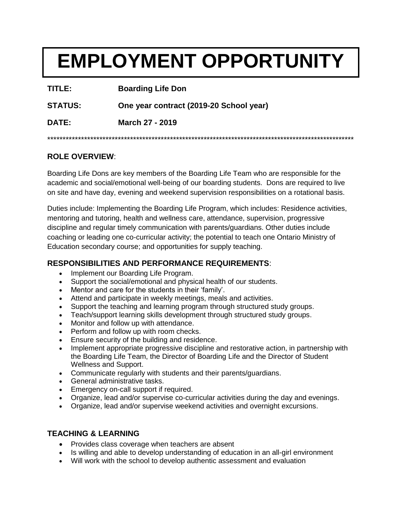# **EMPLOYMENT OPPORTUNITY**

| TITLE:         | <b>Boarding Life Don</b>                |
|----------------|-----------------------------------------|
| <b>STATUS:</b> | One year contract (2019-20 School year) |
| DATE:          | March 27 - 2019                         |
|                |                                         |

### **ROLE OVERVIEW**:

Boarding Life Dons are key members of the Boarding Life Team who are responsible for the academic and social/emotional well-being of our boarding students. Dons are required to live on site and have day, evening and weekend supervision responsibilities on a rotational basis.

Duties include: Implementing the Boarding Life Program, which includes: Residence activities, mentoring and tutoring, health and wellness care, attendance, supervision, progressive discipline and regular timely communication with parents/guardians. Other duties include coaching or leading one co-curricular activity; the potential to teach one Ontario Ministry of Education secondary course; and opportunities for supply teaching.

## **RESPONSIBILITIES AND PERFORMANCE REQUIREMENTS**:

- Implement our Boarding Life Program.
- Support the social/emotional and physical health of our students.
- Mentor and care for the students in their 'family'.
- Attend and participate in weekly meetings, meals and activities.
- Support the teaching and learning program through structured study groups.
- Teach/support learning skills development through structured study groups.
- Monitor and follow up with attendance.
- Perform and follow up with room checks.
- Ensure security of the building and residence.
- Implement appropriate progressive discipline and restorative action, in partnership with the Boarding Life Team, the Director of Boarding Life and the Director of Student Wellness and Support.
- Communicate regularly with students and their parents/guardians.
- General administrative tasks.
- Emergency on-call support if required.
- Organize, lead and/or supervise co-curricular activities during the day and evenings.
- Organize, lead and/or supervise weekend activities and overnight excursions.

### **TEACHING & LEARNING**

- Provides class coverage when teachers are absent
- Is willing and able to develop understanding of education in an all-girl environment
- Will work with the school to develop authentic assessment and evaluation